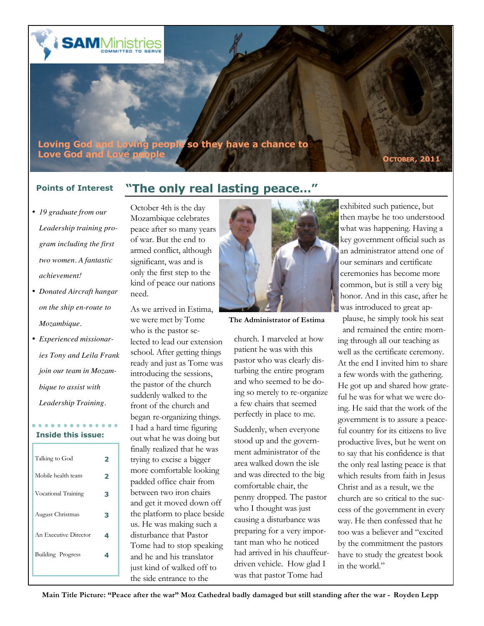

- *19 graduate from our Leadership training program including the first two women. A fantastic achievement!*
- *Donated Aircraft hangar on the ship en-route to Mozambique.*
- *Experienced missionaries Tony and Leila Frank join our team in Mozambique to assist with Leadership Training.*

### . . . . . . . . . . . **Inside this issue:**

| Talking to God        |   |
|-----------------------|---|
| Mobile health team    | 2 |
| Vocational Training   | З |
| August Christmas      | з |
| An Executive Director | 4 |
| Building Progress     | ◢ |
|                       |   |
|                       |   |

## **Points of Interest "The only real lasting peace…"**

October 4th is the day Mozambique celebrates peace after so many years of war. But the end to armed conflict, although significant, was and is only the first step to the kind of peace our nations need.

As we arrived in Estima, we were met by Tome who is the pastor selected to lead our extension school. After getting things ready and just as Tome was introducing the sessions, the pastor of the church suddenly walked to the front of the church and began re-organizing things. I had a hard time figuring out what he was doing but finally realized that he was trying to excise a bigger more comfortable looking padded office chair from between two iron chairs and get it moved down off the platform to place beside us. He was making such a disturbance that Pastor Tome had to stop speaking and he and his translator just kind of walked off to the side entrance to the



**The Administrator of Estima**

church. I marveled at how patient he was with this pastor who was clearly disturbing the entire program and who seemed to be doing so merely to re-organize a few chairs that seemed perfectly in place to me.

Suddenly, when everyone stood up and the government administrator of the area walked down the isle and was directed to the big comfortable chair, the penny dropped. The pastor who I thought was just causing a disturbance was preparing for a very important man who he noticed had arrived in his chauffeurdriven vehicle. How glad I was that pastor Tome had

exhibited such patience, but then maybe he too understood what was happening. Having a key government official such as an administrator attend one of our seminars and certificate ceremonies has become more common, but is still a very big honor. And in this case, after he was introduced to great ap-

plause, he simply took his seat and remained the entire morning through all our teaching as well as the certificate ceremony. At the end I invited him to share a few words with the gathering. He got up and shared how grateful he was for what we were doing. He said that the work of the government is to assure a peaceful country for its citizens to live productive lives, but he went on to say that his confidence is that the only real lasting peace is that which results from faith in Jesus Christ and as a result, we the church are so critical to the success of the government in every way. He then confessed that he too was a believer and "excited by the commitment the pastors have to study the greatest book in the world."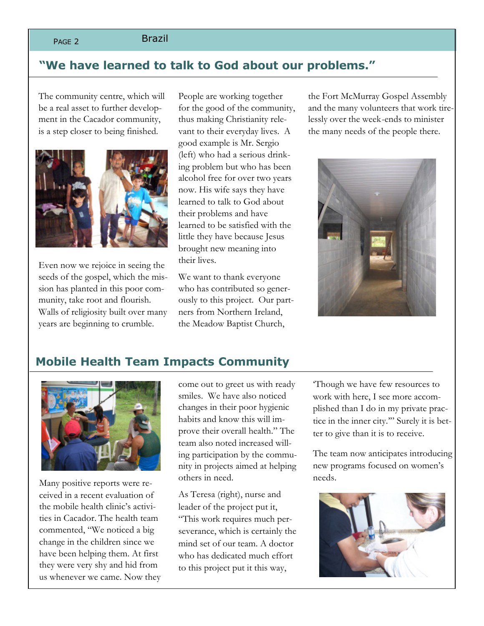### PAGE 2 Brazil

### **"We have learned to talk to God about our problems."**

The community centre, which will be a real asset to further development in the Cacador community, is a step closer to being finished.



Even now we rejoice in seeing the seeds of the gospel, which the mission has planted in this poor community, take root and flourish. Walls of religiosity built over many years are beginning to crumble.

People are working together for the good of the community, thus making Christianity relevant to their everyday lives. A good example is Mr. Sergio (left) who had a serious drinking problem but who has been alcohol free for over two years now. His wife says they have learned to talk to God about their problems and have learned to be satisfied with the little they have because Jesus brought new meaning into their lives.

We want to thank everyone who has contributed so generously to this project. Our partners from Northern Ireland, the Meadow Baptist Church,

the Fort McMurray Gospel Assembly and the many volunteers that work tirelessly over the week-ends to minister the many needs of the people there.



### **Mobile Health Team Impacts Community**



Many positive reports were received in a recent evaluation of the mobile health clinic's activities in Cacador. The health team commented, "We noticed a big change in the children since we have been helping them. At first they were very shy and hid from us whenever we came. Now they come out to greet us with ready smiles. We have also noticed changes in their poor hygienic habits and know this will improve their overall health." The team also noted increased willing participation by the community in projects aimed at helping others in need.

As Teresa (right), nurse and leader of the project put it, "This work requires much perseverance, which is certainly the mind set of our team. A doctor who has dedicated much effort to this project put it this way,

'Though we have few resources to work with here, I see more accomplished than I do in my private practice in the inner city.'" Surely it is better to give than it is to receive.

The team now anticipates introducing new programs focused on women's needs.

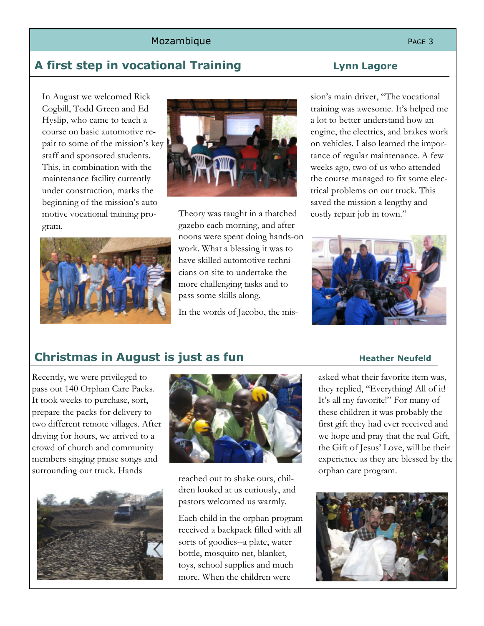### Mozambique et al. et al. et al. et al. et al. et al. et al. et al. et al. et al. et al. et al. et al. et al. e

## **A first step in vocational Training Lynn Lagore**

In August we welcomed Rick Cogbill, Todd Green and Ed Hyslip, who came to teach a course on basic automotive repair to some of the mission's key staff and sponsored students. This, in combination with the maintenance facility currently under construction, marks the beginning of the mission's automotive vocational training program.





Theory was taught in a thatched gazebo each morning, and afternoons were spent doing hands-on work. What a blessing it was to have skilled automotive technicians on site to undertake the more challenging tasks and to pass some skills along.

In the words of Jacobo, the mis-

sion's main driver, "The vocational training was awesome. It's helped me a lot to better understand how an engine, the electrics, and brakes work on vehicles. I also learned the importance of regular maintenance. A few weeks ago, two of us who attended the course managed to fix some electrical problems on our truck. This saved the mission a lengthy and costly repair job in town."



## **Christmas in August is just as fun** Heather Neufeld

Recently, we were privileged to pass out 140 Orphan Care Packs. It took weeks to purchase, sort, prepare the packs for delivery to two different remote villages. After driving for hours, we arrived to a crowd of church and community members singing praise songs and surrounding our truck. Hands<br>reached out to shake ours, chil-





dren looked at us curiously, and pastors welcomed us warmly.

Each child in the orphan program received a backpack filled with all sorts of goodies--a plate, water bottle, mosquito net, blanket, toys, school supplies and much more. When the children were

asked what their favorite item was, they replied, "Everything! All of it! It's all my favorite!" For many of these children it was probably the first gift they had ever received and we hope and pray that the real Gift, the Gift of Jesus' Love, will be their experience as they are blessed by the orphan care program.